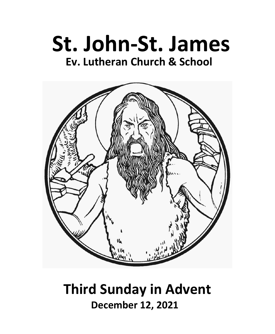



# **Third Sunday in Advent December 12, 2021**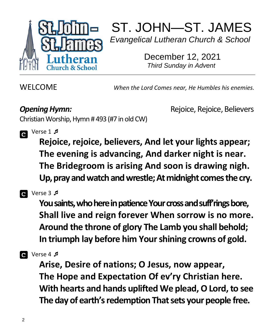

ST. JOHN—ST. JAMES *Evangelical Lutheran Church & School*

 December 12, 2021 *Third Sunday in Advent*

WELCOME *When the Lord Comes near, He Humbles his enemies.*

**Opening Hymn: Constanting Hymn: Constanting Reports** Rejoice, Rejoice, Believers

Christian Worship, Hymn # 493 (#7 in old CW)



## Verse 1

**Rejoice, rejoice, believers, And let your lights appear; The evening is advancing, And darker night is near. The Bridegroom is arising And soon is drawing nigh. Up, pray and watch and wrestle; At midnight comes the cry.**



#### **Q** Verse 3  $\sqrt{2}$

**You saints, who here in patience Your cross and suff'rings bore, Shall live and reign forever When sorrow is no more. Around the throne of glory The Lamb you shall behold; In triumph lay before him Your shining crowns of gold.**



#### **a** Verse 4 *<b>*

**Arise, Desire of nations; O Jesus, now appear, The Hope and Expectation Of ev'ry Christian here. With hearts and hands uplifted We plead, O Lord, to see The day of earth's redemption That sets your people free.**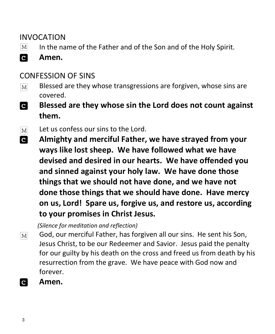#### INVOCATION

- In the name of the Father and of the Son and of the Holy Spirit.  $|M|$
- **C Amen.**

#### CONFESSION OF SINS

- Blessed are they whose transgressions are forgiven, whose sins are  $\lceil \text{M} \rceil$ covered.
- $\overline{c}$ **Blessed are they whose sin the Lord does not count against them.**
- Let us confess our sins to the Lord.  $\lceil \text{M} \rceil$
- **C Almighty and merciful Father, we have strayed from your ways like lost sheep. We have followed what we have devised and desired in our hearts. We have offended you and sinned against your holy law. We have done those things that we should not have done, and we have not done those things that we should have done. Have mercy on us, Lord! Spare us, forgive us, and restore us, according to your promises in Christ Jesus.**

 *(Silence for meditation and reflection)*

- God, our merciful Father, has forgiven all our sins. He sent his Son,  $\lceil \text{M} \rceil$ Jesus Christ, to be our Redeemer and Savior. Jesus paid the penalty for our guilty by his death on the cross and freed us from death by his resurrection from the grave. We have peace with God now and forever.
- **Amen.** $\overline{c}$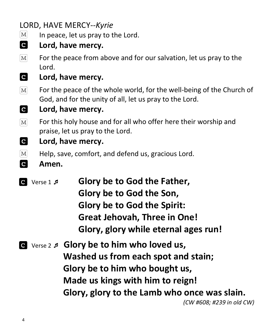## LORD, HAVE MERCY*--Kyrie*

- $\vert\mathrm{M}\vert$ In peace, let us pray to the Lord.
- $\mathbf{c}$ **Lord, have mercy.**
- For the peace from above and for our salvation, let us pray to the  $|M|$ Lord.
- $|{\bf c}|$ **Lord, have mercy.**
- For the peace of the whole world, for the well-being of the Church of  $\boxed{\text{M}}$ God, and for the unity of all, let us pray to the Lord.
- **C Lord, have mercy.**
- For this holy house and for all who offer here their worship and  $[M]$ praise, let us pray to the Lord.
- **C Lord, have mercy.**
- $\vert\mathrm{M}\vert$ Help, save, comfort, and defend us, gracious Lord.
- $|{\bf c}|$ **Amen.**
- Verse 1  **Glory be to God the Father, Glory be to God the Son, Glory be to God the Spirit: Great Jehovah, Three in One! Glory, glory while eternal ages run!**
- Verse 2  **Glory be to him who loved us, Washed us from each spot and stain; Glory be to him who bought us, Made us kings with him to reign! Glory, glory to the Lamb who once was slain.** *(CW #608; #239 in old CW)*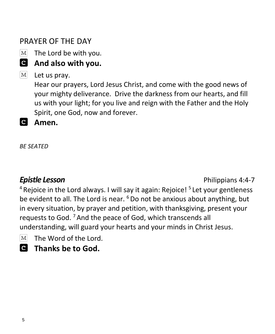### PRAYER OF THE DAY

 $\boxed{\text{M}}$ The Lord be with you.

# **And also with you.**

 $M<sub>l</sub>$ Let us pray.

> Hear our prayers, Lord Jesus Christ, and come with the good news of your mighty deliverance. Drive the darkness from our hearts, and fill us with your light; for you live and reign with the Father and the Holy Spirit, one God, now and forever.

 **Amen.**

*BE SEATED*

**Epistle Lesson** *Contract Contract Contract Contract Contract Contract Contract Contract Contract Contract Contract Contract Contract Contract Contract Contract Contract Contract Contract Contract Contract Contract Contr* 

<sup>4</sup> Rejoice in the Lord always. I will say it again: Rejoice! <sup>5</sup> Let your gentleness be evident to all. The Lord is near. <sup>6</sup> Do not be anxious about anything, but in every situation, by prayer and petition, with thanksgiving, present your requests to God.<sup>7</sup> And the peace of God, which transcends all understanding, will guard your hearts and your minds in Christ Jesus.

- The Word of the Lord.  $M$
- **Thanks be to God.**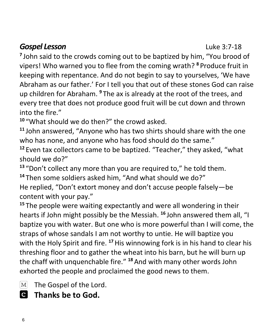#### **Gospel Lesson Contract 2:7-18**

<sup>7</sup> John said to the crowds coming out to be baptized by him, "You brood of vipers! Who warned you to flee from the coming wrath? **<sup>8</sup>** Produce fruit in keeping with repentance. And do not begin to say to yourselves, 'We have Abraham as our father.' For I tell you that out of these stones God can raise up children for Abraham. **<sup>9</sup>** The ax is already at the root of the trees, and every tree that does not produce good fruit will be cut down and thrown into the fire."

**<sup>10</sup>** "What should we do then?" the crowd asked.

**<sup>11</sup>** John answered, "Anyone who has two shirts should share with the one who has none, and anyone who has food should do the same."

**<sup>12</sup>** Even tax collectors came to be baptized. "Teacher," they asked, "what should we do?"

**<sup>13</sup>** "Don't collect any more than you are required to," he told them.

**<sup>14</sup>** Then some soldiers asked him, "And what should we do?"

He replied, "Don't extort money and don't accuse people falsely—be content with your pay."

**<sup>15</sup>** The people were waiting expectantly and were all wondering in their hearts if John might possibly be the Messiah. **<sup>16</sup>** John answered them all, "I baptize you with water. But one who is more powerful than I will come, the straps of whose sandals I am not worthy to untie. He will baptize you with the Holy Spirit and fire. **<sup>17</sup>**His winnowing fork is in his hand to clear his threshing floor and to gather the wheat into his barn, but he will burn up the chaff with unquenchable fire." **<sup>18</sup>** And with many other words John exhorted the people and proclaimed the good news to them.

The Gospel of the Lord.  $|M|$ 

 **Thanks be to God.**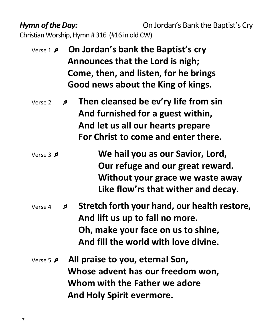*Hymn of the Day:* **Comparish Conducts** On Jordan's Bank the Baptist's Cry Christian Worship, Hymn # 316 (#16 in old CW)

- Verse 1  **On Jordan's bank the Baptist's cry Announces that the Lord is nigh; Come, then, and listen, for he brings Good news about the King of kings.**
- Verse 2  **Then cleansed be ev'ry life from sin And furnished for a guest within, And let us all our hearts prepare For Christ to come and enter there.**
- Verse 3  **We hail you as our Savior, Lord, Our refuge and our great reward. Without your grace we waste away Like flow'rs that wither and decay.**
- Verse 4  **Stretch forth your hand, our health restore, And lift us up to fall no more. Oh, make your face on us to shine, And fill the world with love divine.**
- Verse 5  **All praise to you, eternal Son, Whose advent has our freedom won, Whom with the Father we adore And Holy Spirit evermore.**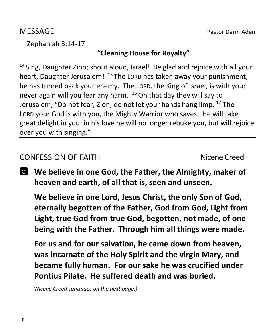MESSAGE Pastor Darin Aden

Zephaniah 3:14-17

#### **"Cleaning House for Royalty"**

**<sup>14</sup>**Sing, Daughter Zion; shout aloud, Israel! Be glad and rejoice with all your heart, Daughter Jerusalem! <sup>15</sup> The Lorp has taken away your punishment, he has turned back your enemy. The LORD, the King of Israel, is with you; never again will you fear any harm. <sup>16</sup> On that day they will say to Jerusalem, "Do not fear, Zion; do not let your hands hang limp. <sup>17</sup> The LORD your God is with you, the Mighty Warrior who saves. He will take great delight in you; in his love he will no longer rebuke you, but will rejoice over you with singing."

#### CONFESSION OF FAITH Nicene Creed

**We believe in one God, the Father, the Almighty, maker of heaven and earth, of all that is, seen and unseen.**

**We believe in one Lord, Jesus Christ, the only Son of God, eternally begotten of the Father, God from God, Light from Light, true God from true God, begotten, not made, of one being with the Father. Through him all things were made.** 

**For us and for our salvation, he came down from heaven, was incarnate of the Holy Spirit and the virgin Mary, and became fully human. For our sake he was crucified under Pontius Pilate. He suffered death and was buried.** 

 *(Nicene Creed continues on the next page.)*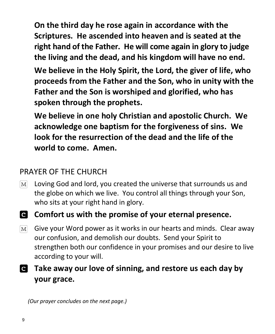**On the third day he rose again in accordance with the Scriptures. He ascended into heaven and is seated at the right hand of the Father. He will come again in glory to judge the living and the dead, and his kingdom will have no end.**

**We believe in the Holy Spirit, the Lord, the giver of life, who proceeds from the Father and the Son, who in unity with the Father and the Son is worshiped and glorified, who has spoken through the prophets.** 

**We believe in one holy Christian and apostolic Church. We acknowledge one baptism for the forgiveness of sins. We look for the resurrection of the dead and the life of the world to come. Amen.**

### PRAYER OF THE CHURCH

- Loving God and lord, you created the universe that surrounds us and  $M<sup>2</sup>$ the globe on which we live. You control all things through your Son, who sits at your right hand in glory.
- **Comfort us with the promise of your eternal presence.**
- Give your Word power as it works in our hearts and minds. Clear away  $M<sub>l</sub>$ our confusion, and demolish our doubts. Send your Spirit to strengthen both our confidence in your promises and our desire to live according to your will.
- **Take away our love of sinning, and restore us each day by your grace.**

 *(Our prayer concludes on the next page.)*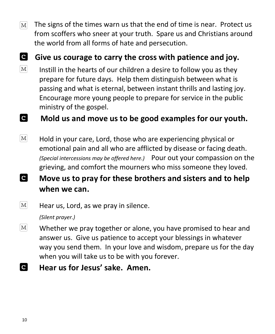The signs of the times warn us that the end of time is near. Protect us  $\mathbf{M}$ from scoffers who sneer at your truth. Spare us and Christians around the world from all forms of hate and persecution.

#### **Give us courage to carry the cross with patience and joy.**

 $[M]$ Instill in the hearts of our children a desire to follow you as they prepare for future days. Help them distinguish between what is passing and what is eternal, between instant thrills and lasting joy. Encourage more young people to prepare for service in the public ministry of the gospel.

#### **C Mold us and move us to be good examples for our youth.**

- $|M|$ Hold in your care, Lord, those who are experiencing physical or emotional pain and all who are afflicted by disease or facing death. *(Special intercessions may be offered here.)* Pour out your compassion on the grieving, and comfort the mourners who miss someone they loved.
- C **Move us to pray for these brothers and sisters and to help when we can.**
- $\mathbf{M}$ Hear us, Lord, as we pray in silence.

*(Silent prayer.)*

- $\lceil \text{M} \rceil$ Whether we pray together or alone, you have promised to hear and answer us. Give us patience to accept your blessings in whatever way you send them. In your love and wisdom, prepare us for the day when you will take us to be with you forever.
- **C Hear us for Jesus' sake. Amen.**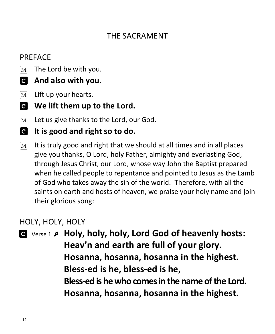#### THE SACRAMENT

#### **PRFFACE**

- The Lord be with you.  $M<sub>l</sub>$
- **And also with you.**
- $[M]$ Lift up your hearts.
- **We lift them up to the Lord.**
- Let us give thanks to the Lord, our God.  $\overline{\text{M}}$
- **It is good and right so to do.**
- $\boxed{\text{M}}$ It is truly good and right that we should at all times and in all places give you thanks, O Lord, holy Father, almighty and everlasting God, through Jesus Christ, our Lord, whose way John the Baptist prepared when he called people to repentance and pointed to Jesus as the Lamb of God who takes away the sin of the world. Therefore, with all the saints on earth and hosts of heaven, we praise your holy name and join their glorious song:

#### HOLY, HOLY, HOLY

 Verse 1  **Holy, holy, holy, Lord God of heavenly hosts: Heav'n and earth are full of your glory. Hosanna, hosanna, hosanna in the highest. Bless-ed is he, bless-ed is he, Bless-ed is he who comes in the name of the Lord. Hosanna, hosanna, hosanna in the highest.**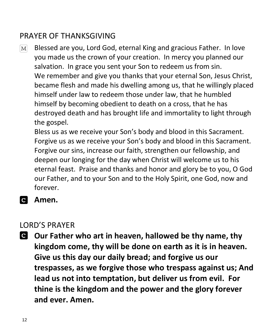### PRAYER OF THANKSGIVING

Blessed are you, Lord God, eternal King and gracious Father. In love  $M<sup>2</sup>$ you made us the crown of your creation. In mercy you planned our salvation. In grace you sent your Son to redeem us from sin. We remember and give you thanks that your eternal Son, Jesus Christ, became flesh and made his dwelling among us, that he willingly placed himself under law to redeem those under law, that he humbled himself by becoming obedient to death on a cross, that he has destroyed death and has brought life and immortality to light through the gospel.

Bless us as we receive your Son's body and blood in this Sacrament. Forgive us as we receive your Son's body and blood in this Sacrament. Forgive our sins, increase our faith, strengthen our fellowship, and deepen our longing for the day when Christ will welcome us to his eternal feast. Praise and thanks and honor and glory be to you, O God our Father, and to your Son and to the Holy Spirit, one God, now and forever.

**Amen.**

#### LORD'S PRAYER

**Our Father who art in heaven, hallowed be thy name, thy kingdom come, thy will be done on earth as it is in heaven. Give us this day our daily bread; and forgive us our trespasses, as we forgive those who trespass against us; And lead us not into temptation, but deliver us from evil. For thine is the kingdom and the power and the glory forever and ever. Amen.**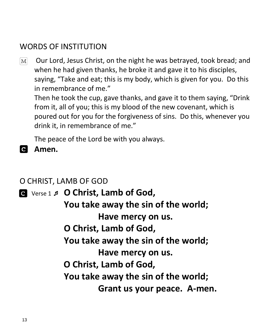#### WORDS OF INSTITUTION

Our Lord, Jesus Christ, on the night he was betrayed, took bread; and  $\mathbf{M}$ when he had given thanks, he broke it and gave it to his disciples, saying, "Take and eat; this is my body, which is given for you. Do this in remembrance of me."

Then he took the cup, gave thanks, and gave it to them saying, "Drink from it, all of you; this is my blood of the new covenant, which is poured out for you for the forgiveness of sins. Do this, whenever you drink it, in remembrance of me."

The peace of the Lord be with you always.

#### **Amen.**

#### O CHRIST, LAMB OF GOD

 Verse 1  **O Christ, Lamb of God, You take away the sin of the world; Have mercy on us. O Christ, Lamb of God, You take away the sin of the world; Have mercy on us. O Christ, Lamb of God, You take away the sin of the world; Grant us your peace. A-men.**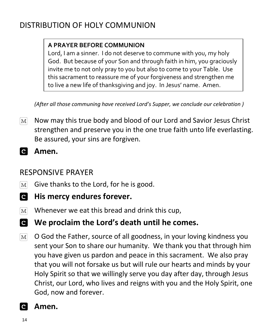## DISTRIBUTION OF HOLY COMMUNION

#### **A PRAYER BEFORE COMMUNION**

Lord, I am a sinner. I do not deserve to commune with you, my holy God. But because of your Son and through faith in him, you graciously invite me to not only pray to you but also to come to your Table. Use this sacrament to reassure me of your forgiveness and strengthen me to live a new life of thanksgiving and joy. In Jesus' name. Amen.

*(After all those communing have received Lord's Supper, we conclude our celebration )*

- Now may this true body and blood of our Lord and Savior Jesus Christ  $\lceil \text{M} \rceil$ strengthen and preserve you in the one true faith unto life everlasting. Be assured, your sins are forgiven.
- **Amen.**

#### RESPONSIVE PRAYER

- Give thanks to the Lord, for he is good.  $\mathbf{M}$
- **His mercy endures forever.**
- Whenever we eat this bread and drink this cup,  $M<sup>2</sup>$
- **We proclaim the Lord's death until he comes.**
- O God the Father, source of all goodness, in your loving kindness you  $\boxed{\text{M}}$ sent your Son to share our humanity. We thank you that through him you have given us pardon and peace in this sacrament. We also pray that you will not forsake us but will rule our hearts and minds by your Holy Spirit so that we willingly serve you day after day, through Jesus Christ, our Lord, who lives and reigns with you and the Holy Spirit, one God, now and forever.

#### $\mathbf{C}$ **Amen.**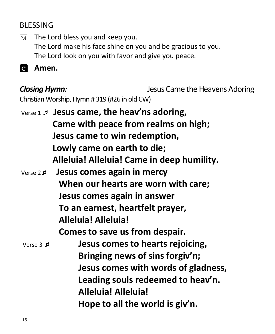### BLESSING

The Lord bless you and keep you.  $M<sub>l</sub>$ The Lord make his face shine on you and be gracious to you. The Lord look on you with favor and give you peace.

**Amen.**

*Closing Hymn:* Jesus Came the Heavens Adoring Christian Worship, Hymn # 319 (#26 in old CW)

Verse 1  **Jesus came, the heav'ns adoring, Came with peace from realms on high; Jesus came to win redemption, Lowly came on earth to die; Alleluia! Alleluia! Came in deep humility.** Verse 2 **Jesus comes again in mercy When our hearts are worn with care; Jesus comes again in answer To an earnest, heartfelt prayer, Alleluia! Alleluia! Comes to save us from despair.** Verse 3  **Jesus comes to hearts rejoicing, Bringing news of sins forgiv'n; Jesus comes with words of gladness, Leading souls redeemed to heav'n. Alleluia! Alleluia! Hope to all the world is giv'n.**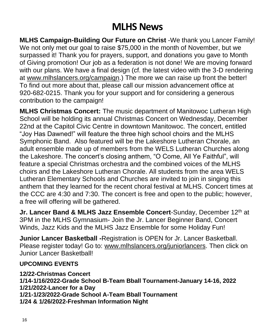# **MLHS News**

**MLHS Campaign-Building Our Future on Christ** -We thank you Lancer Family! We not only met our goal to raise \$75,000 in the month of November, but we surpassed it! Thank you for prayers, support, and donations you gave to Month of Giving promotion! Our job as a federation is not done! We are moving forward with our plans. We have a final design (cf. the latest video with the 3-D rendering at [www.mlhslancers.org/campaign.](http://www.mlhslancers.org/campaign)) The more we can raise up front the better! To find out more about that, please call our mission advancement office at 920-682-0215. Thank you for your support and for considering a generous contribution to the campaign!

**MLHS Christmas Concert:** The music department of Manitowoc Lutheran High School will be holding its annual Christmas Concert on Wednesday, December 22nd at the Capitol Civic Centre in downtown Manitowoc. The concert, entitled "Joy Has Dawned!" will feature the three high school choirs and the MLHS Symphonic Band. Also featured will be the Lakeshore Lutheran Chorale, an adult ensemble made up of members from the WELS Lutheran Churches along the Lakeshore. The concert's closing anthem, "O Come, All Ye Faithful", will feature a special Christmas orchestra and the combined voices of the MLHS choirs and the Lakeshore Lutheran Chorale. All students from the area WELS Lutheran Elementary Schools and Churches are invited to join in singing this anthem that they learned for the recent choral festival at MLHS. Concert times at the CCC are 4:30 and 7:30. The concert is free and open to the public; however, a free will offering will be gathered.

**Jr. Lancer Band & MLHS Jazz Ensemble Concert-Sunday, December 12<sup>th</sup> at** 3PM in the MLHS Gymnasium- Join the Jr. Lancer Beginner Band, Concert Winds, Jazz Kids and the MLHS Jazz Ensemble for some Holiday Fun!

**Junior Lancer Basketball -**Registration is OPEN for Jr. Lancer Basketball. Please register today! Go to: [www.mlhslancers.org/juniorlancers.](http://www.mlhslancers.org/juniorlancers) Then click on Junior Lancer Basketball!

#### **UPCOMING EVENTS**

**12/22-Christmas Concert 1/14-1/16/2022-Grade School B-Team Bball Tournament-January 14-16, 2022 1/21/2022-Lancer for a Day 1/21-1/23/2022-Grade School A-Team Bball Tournament 1/24 & 1/26/2022-Freshman Information Night**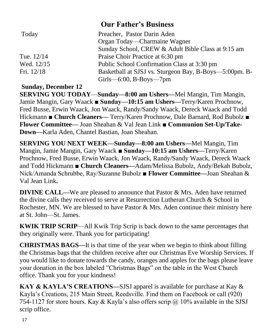|            | <b>Our Father's Business</b>                           |
|------------|--------------------------------------------------------|
| Today      | Preacher, Pastor Darin Aden                            |
|            | Organ Today—Charmaine Wagner                           |
|            | Sunday School, CREW & Adult Bible Class at 9:15 am     |
| Tue. 12/14 | Praise Choir Practice at 6:30 pm                       |
| Wed. 12/15 | Public School Confirmation Class at 3:30 pm            |
| Fri. 12/18 | Basketball at SJSJ vs. Sturgeon Bay, B-Boys—5:00pm. B- |
|            | $Girls$ —6:00, B-Boys—7pm                              |

#### **Sunday, December 12**

**SERVING YOU TODAY**—**Sunday—8:00 am Ushers—**Mel Mangin, Tim Mangin, Jamie Mangin, Gary Waack **■ Sunday—10:15 am Ushers—**Terry/Karen Prochnow, Fred Busse, Erwin Waack, Jon Waack, Randy/Sandy Waack, Dereck Waack and Todd Hickmann ■ **Church Cleaners—** Terry/Karen Prochnow, Dale Barnard, Rod Bubolz ■ **Flower Committee—** Joan Sheahan & Val Jean Link **■ Communion Set-Up/Take-Down—**Karla Aden, Chantel Bastian, Joan Sheahan.

**SERVING YOU NEXT WEEK—Sunday—8:00 am Ushers—**Mel Mangin, Tim Mangin, Jamie Mangin, Gary Waack **■ Sunday—10:15 am Ushers—**Terry/Karen Prochnow, Fred Busse, Erwin Waack, Jon Waack, Randy/Sandy Waack, Dereck Waack and Todd Hickmann ■ **Church Cleaners—**Adam/Melissa Bubolz, Andy/Bekah Bubolz, Nick/Amanda Schrubbe, Ray/Suzanne Bubolz ■ **Flower Committee—**Joan Sheahan & Val Jean Link**.**

**DIVINE CALL—We are pleased to announce that Pastor & Mrs. Aden have returned** the divine calls they received to serve at Resurrection Lutheran Church & School in Rochester, MN. We are blessed to have Pastor & Mrs. Aden continue their ministry here at St. John—St. James.

**KWIK TRIP SCRIP**—All Kwik Trip Scrip is back down to the same percentages that they originally were. Thank you for participating!

**CHRISTMAS BAGS—**It is that time of the year when we begin to think about filling the Christmas bags that the children receive after our Christmas Eve Worship Services. If you would like to donate towards the candy, oranges and apples for the bags please leave your donation in the box labeled "Christmas Bags" on the table in the West Church office. Thank you for your kindness!

**KAY & KAYLA'S CREATIONS—**SJSJ apparel is available for purchase at Kay & Kayla's Creations, 215 Main Street, Reedsville. Find them on Facebook or call (920) 754-1127 for store hours. Kay & Kayla's also offers scrip  $\omega$  10% available in the SJSJ scrip office.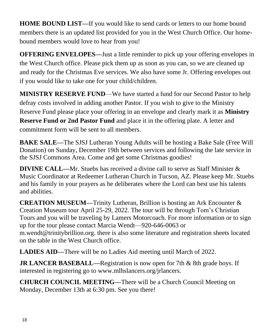**HOME BOUND LIST—**If you would like to send cards or letters to our home bound members there is an updated list provided for you in the West Church Office. Our homebound members would love to hear from you!

**OFFERING ENVELOPES—**Just a little reminder to pick up your offering envelopes in the West Church office. Please pick them up as soon as you can, so we are cleaned up and ready for the Christmas Eve services. We also have some Jr. Offering envelopes out if you would like to take one for your child/children.

**MINISTRY RESERVE FUND**—We have started a fund for our Second Pastor to help defray costs involved in adding another Pastor. If you wish to give to the Ministry Reserve Fund please place your offering in an envelope and clearly mark it as **Ministry Reserve Fund or 2nd Pastor Fund** and place it in the offering plate. A letter and commitment form will be sent to all members.

**BAKE SALE—**The SJSJ Lutheran Young Adults will be hosting a Bake Sale (Free Will Donation) on Sunday, December 19th between services and following the late service in the SJSJ Commons Area. Come and get some Christmas goodies!

**DIVINE CALL—Mr.** Stuebs has received a divine call to serve as Staff Minister & Music Coordinator at Redeemer Lutheran Church in Tucson, AZ. Please keep Mr. Stuebs and his family in your prayers as he deliberates where the Lord can best use his talents and abilities.

**CREATION MUSEUM—**Trinity Lutheran, Brillion is hosting an Ark Encounter & Creation Museum tour April 25-29, 2022. The tour will be through Tom's Christian Tours and you will be traveling by Lamers Motorcoach. For more information or to sign up for the tour please contact Marcia Wendt—920-646-0063 or m.wendt@trinitybrillion.org. there is also some literature and registration sheets located on the table in the West Church office.

**LADIES AID—**There will be no Ladies Aid meeting until March of 2022.

**JR LANCER BASEBALL—Registration is now open for 7th & 8th grade boys. If** interested in registering go to www.mlhslancers.org/jrlancers.

**CHURCH COUNCIL MEETING—**There will be a Church Council Meeting on Monday, December 13th at 6:30 pm. See you there!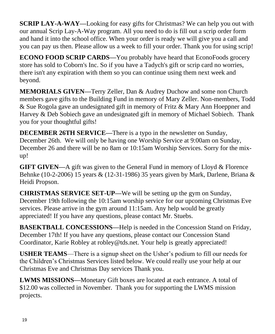**SCRIP LAY-A-WAY—**Looking for easy gifts for Christmas? We can help you out with our annual Scrip Lay-A-Way program. All you need to do is fill out a scrip order form and hand it into the school office. When your order is ready we will give you a call and you can pay us then. Please allow us a week to fill your order. Thank you for using scrip!

**ECONO FOOD SCRIP CARDS—**You probably have heard that EconoFoods grocery store has sold to Coborn's Inc. So if you have a Tadych's gift or scrip card no worries, there isn't any expiration with them so you can continue using them next week and beyond.

**MEMORIALS GIVEN—**Terry Zeller, Dan & Audrey Duchow and some non Church members gave gifts to the Building Fund in memory of Mary Zeller. Non-members, Todd & Sue Rogola gave an undesignated gift in memory of Fritz & Mary Ann Hoeppner and Harvey & Deb Sobiech gave an undesignated gift in memory of Michael Sobiech. Thank you for your thoughtful gifts!

**DECEMBER 26TH SERVICE—**There is a typo in the newsletter on Sunday, December 26th. We will only be having one Worship Service at 9:00am on Sunday, December 26 and there will be no 8am or 10:15am Worship Services. Sorry for the mixup!

**GIFT GIVEN—A** gift was given to the General Fund in memory of Lloyd & Florence Behnke (10-2-2006) 15 years & (12-31-1986) 35 years given by Mark, Darlene, Briana & Heidi Propson.

**CHRISTMAS SERVICE SET-UP—**We will be setting up the gym on Sunday, December 19th following the 10:15am worship service for our upcoming Christmas Eve services. Please arrive in the gym around 11:15am. Any help would be greatly appreciated! If you have any questions, please contact Mr. Stuebs.

**BASEKTBALL CONCESSIONS—Help is needed in the Concession Stand on Friday,** December 17th! If you have any questions, please contact our Concession Stand Coordinator, Karie Robley at robley@tds.net. Your help is greatly appreciated!

**USHER TEAMS**—There is a signup sheet on the Usher's podium to fill our needs for the Children's Christmas Services listed below. We could really use your help at our Christmas Eve and Christmas Day services Thank you.

**LWMS MISSIONS—**Monetary Gift boxes are located at each entrance. A total of \$12.00 was collected in November. Thank you for supporting the LWMS mission projects.